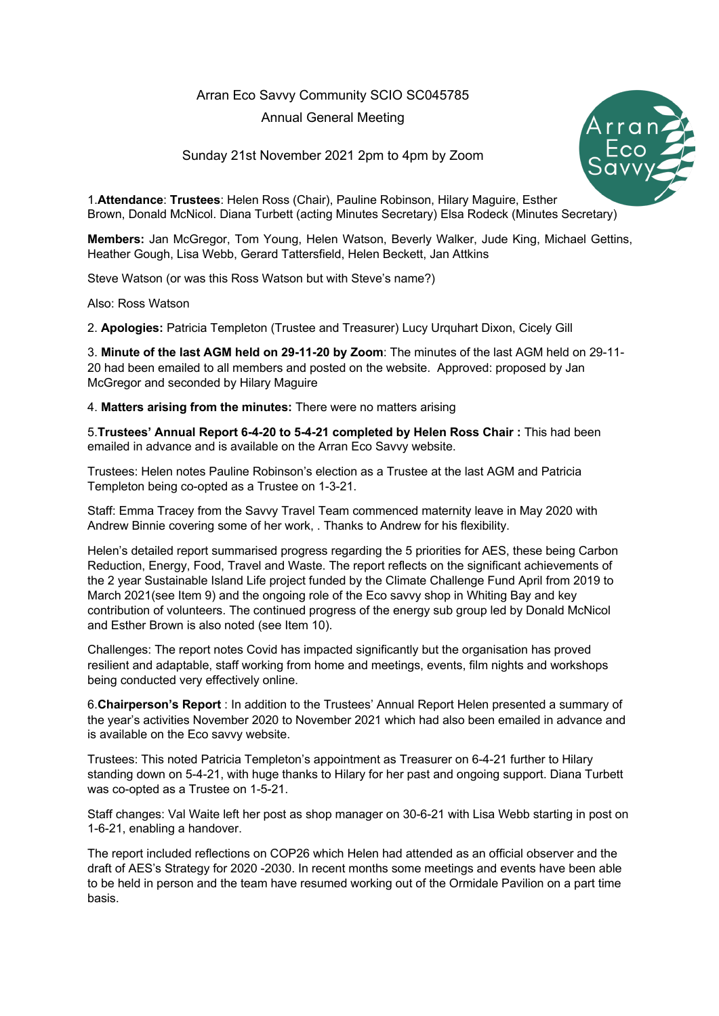## Arran Eco Savvy Community SCIO SC045785

Annual General Meeting

Sunday 21st November 2021 2pm to 4pm by Zoom

1.**Attendance**: **Trustees**: Helen Ross (Chair), Pauline Robinson, Hilary Maguire, Esther Brown, Donald McNicol. Diana Turbett (acting Minutes Secretary) Elsa Rodeck (Minutes Secretary)

**Members:** Jan McGregor, Tom Young, Helen Watson, Beverly Walker, Jude King, Michael Gettins, Heather Gough, Lisa Webb, Gerard Tattersfield, Helen Beckett, Jan Attkins

Steve Watson (or was this Ross Watson but with Steve's name?)

Also: Ross Watson

2. **Apologies:** Patricia Templeton (Trustee and Treasurer) Lucy Urquhart Dixon, Cicely Gill

3. **Minute of the last AGM held on 29-11-20 by Zoom**: The minutes of the last AGM held on 29-11- 20 had been emailed to all members and posted on the website. Approved: proposed by Jan McGregor and seconded by Hilary Maguire

4. **Matters arising from the minutes:** There were no matters arising

5.**Trustees' Annual Report 6-4-20 to 5-4-21 completed by Helen Ross Chair :** This had been emailed in advance and is available on the Arran Eco Savvy website.

Trustees: Helen notes Pauline Robinson's election as a Trustee at the last AGM and Patricia Templeton being co-opted as a Trustee on 1-3-21.

Staff: Emma Tracey from the Savvy Travel Team commenced maternity leave in May 2020 with Andrew Binnie covering some of her work, . Thanks to Andrew for his flexibility.

Helen's detailed report summarised progress regarding the 5 priorities for AES, these being Carbon Reduction, Energy, Food, Travel and Waste. The report reflects on the significant achievements of the 2 year Sustainable Island Life project funded by the Climate Challenge Fund April from 2019 to March 2021(see Item 9) and the ongoing role of the Eco savvy shop in Whiting Bay and key contribution of volunteers. The continued progress of the energy sub group led by Donald McNicol and Esther Brown is also noted (see Item 10).

Challenges: The report notes Covid has impacted significantly but the organisation has proved resilient and adaptable, staff working from home and meetings, events, film nights and workshops being conducted very effectively online.

6.**Chairperson's Report** : In addition to the Trustees' Annual Report Helen presented a summary of the year's activities November 2020 to November 2021 which had also been emailed in advance and is available on the Eco savvy website.

Trustees: This noted Patricia Templeton's appointment as Treasurer on 6-4-21 further to Hilary standing down on 5-4-21, with huge thanks to Hilary for her past and ongoing support. Diana Turbett was co-opted as a Trustee on 1-5-21.

Staff changes: Val Waite left her post as shop manager on 30-6-21 with Lisa Webb starting in post on 1-6-21, enabling a handover.

The report included reflections on COP26 which Helen had attended as an official observer and the draft of AES's Strategy for 2020 -2030. In recent months some meetings and events have been able to be held in person and the team have resumed working out of the Ormidale Pavilion on a part time basis.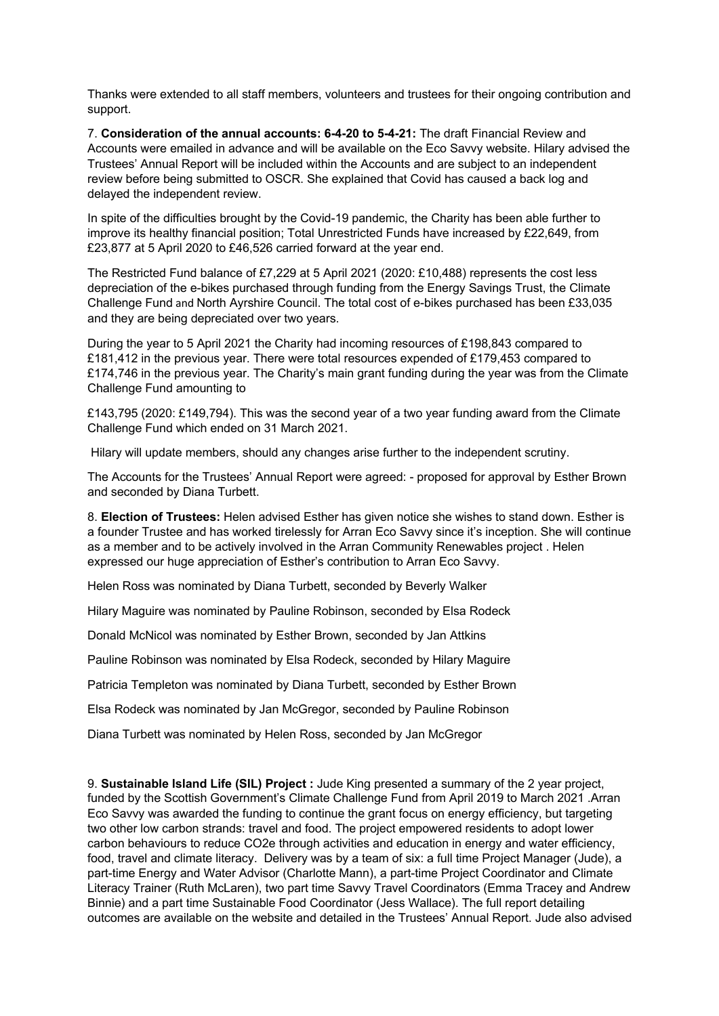Thanks were extended to all staff members, volunteers and trustees for their ongoing contribution and support.

7. **Consideration of the annual accounts: 6-4-20 to 5-4-21:** The draft Financial Review and Accounts were emailed in advance and will be available on the Eco Savvy website. Hilary advised the Trustees' Annual Report will be included within the Accounts and are subject to an independent review before being submitted to OSCR. She explained that Covid has caused a back log and delayed the independent review.

In spite of the difficulties brought by the Covid-19 pandemic, the Charity has been able further to improve its healthy financial position; Total Unrestricted Funds have increased by £22,649, from £23,877 at 5 April 2020 to £46,526 carried forward at the year end.

The Restricted Fund balance of £7,229 at 5 April 2021 (2020: £10,488) represents the cost less depreciation of the e-bikes purchased through funding from the Energy Savings Trust, the Climate Challenge Fund and North Ayrshire Council. The total cost of e-bikes purchased has been £33,035 and they are being depreciated over two years.

During the year to 5 April 2021 the Charity had incoming resources of £198,843 compared to £181,412 in the previous year. There were total resources expended of £179,453 compared to £174,746 in the previous year. The Charity's main grant funding during the year was from the Climate Challenge Fund amounting to

£143,795 (2020: £149,794). This was the second year of a two year funding award from the Climate Challenge Fund which ended on 31 March 2021.

Hilary will update members, should any changes arise further to the independent scrutiny.

The Accounts for the Trustees' Annual Report were agreed: - proposed for approval by Esther Brown and seconded by Diana Turbett.

8. **Election of Trustees:** Helen advised Esther has given notice she wishes to stand down. Esther is a founder Trustee and has worked tirelessly for Arran Eco Savvy since it's inception. She will continue as a member and to be actively involved in the Arran Community Renewables project . Helen expressed our huge appreciation of Esther's contribution to Arran Eco Savvy.

Helen Ross was nominated by Diana Turbett, seconded by Beverly Walker

Hilary Maguire was nominated by Pauline Robinson, seconded by Elsa Rodeck

Donald McNicol was nominated by Esther Brown, seconded by Jan Attkins

Pauline Robinson was nominated by Elsa Rodeck, seconded by Hilary Maguire

Patricia Templeton was nominated by Diana Turbett, seconded by Esther Brown

Elsa Rodeck was nominated by Jan McGregor, seconded by Pauline Robinson

Diana Turbett was nominated by Helen Ross, seconded by Jan McGregor

9. **Sustainable Island Life (SIL) Project :** Jude King presented a summary of the 2 year project, funded by the Scottish Government's Climate Challenge Fund from April 2019 to March 2021 .Arran Eco Savvy was awarded the funding to continue the grant focus on energy efficiency, but targeting two other low carbon strands: travel and food. The project empowered residents to adopt lower carbon behaviours to reduce CO2e through activities and education in energy and water efficiency, food, travel and climate literacy. Delivery was by a team of six: a full time Project Manager (Jude), a part-time Energy and Water Advisor (Charlotte Mann), a part-time Project Coordinator and Climate Literacy Trainer (Ruth McLaren), two part time Savvy Travel Coordinators (Emma Tracey and Andrew Binnie) and a part time Sustainable Food Coordinator (Jess Wallace). The full report detailing outcomes are available on the website and detailed in the Trustees' Annual Report. Jude also advised